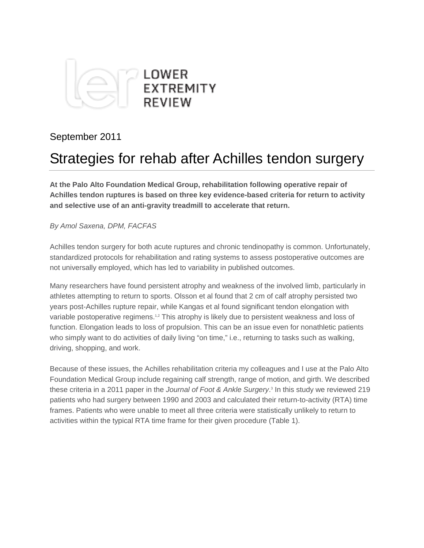

### September 2011

# Strategies for rehab after Achilles tendon surgery

**At the Palo Alto Foundation Medical Group, rehabilitation following operative repair of Achilles tendon ruptures is based on three key evidence-based criteria for return to activity and selective use of an anti-gravity treadmill to accelerate that return.** 

By Amol Saxena, DPM, FACFAS

Achilles tendon surgery for both acute ruptures and chronic tendinopathy is common. Unfortunately, standardized protocols for rehabilitation and rating systems to assess postoperative outcomes are not universally employed, which has led to variability in published outcomes.

Many researchers have found persistent atrophy and weakness of the involved limb, particularly in athletes attempting to return to sports. Olsson et al found that 2 cm of calf atrophy persisted two years post-Achilles rupture repair, while Kangas et al found significant tendon elongation with variable postoperative regimens.<sup>1,2</sup> This atrophy is likely due to persistent weakness and loss of function. Elongation leads to loss of propulsion. This can be an issue even for nonathletic patients who simply want to do activities of daily living "on time," i.e., returning to tasks such as walking, driving, shopping, and work.

Because of these issues, the Achilles rehabilitation criteria my colleagues and I use at the Palo Alto Foundation Medical Group include regaining calf strength, range of motion, and girth. We described these criteria in a 2011 paper in the Journal of Foot & Ankle Surgery.<sup>3</sup> In this study we reviewed 219 patients who had surgery between 1990 and 2003 and calculated their return-to-activity (RTA) time frames. Patients who were unable to meet all three criteria were statistically unlikely to return to activities within the typical RTA time frame for their given procedure (Table 1).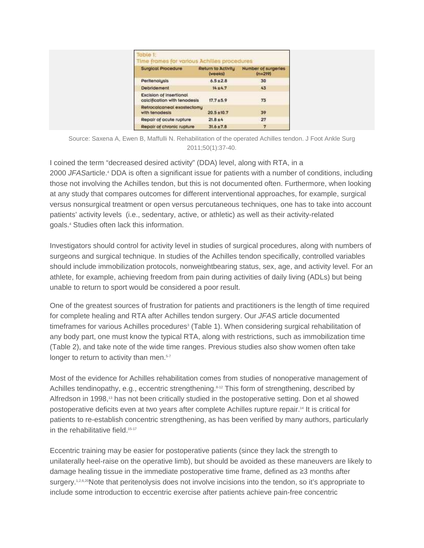| <b>Surgical Procedure</b>                                      | <b>Return to Activity</b><br>(weeks) | Number of surgeries<br>$(n=219)$ |
|----------------------------------------------------------------|--------------------------------------|----------------------------------|
| Peritenotusis                                                  | $6.5 \pm 2.8$                        | 30                               |
| Debridement                                                    | $14 + 4.7$                           | 43                               |
| <b>Excision of insertional</b><br>calcification with tenodesis | $17.7 \pm 5.9$                       | 73                               |
| Retrocalcaneal exostectomu<br>with tenodesis                   | $20.5 \pm 10.7$                      | 39                               |
| Repair of acute rupture                                        | $21.8 + 4$                           | 27                               |
| Repair of chronic rupture                                      | $31.6 \pm 7.8$                       | 7                                |

Source: Saxena A, Ewen B, Maffulli N. Rehabilitation of the operated Achilles tendon. J Foot Ankle Surg 2011;50(1):37-40.

I coined the term "decreased desired activity" (DDA) level, along with RTA, in a 2000 JFASarticle.<sup>4</sup> DDA is often a significant issue for patients with a number of conditions, including those not involving the Achilles tendon, but this is not documented often. Furthermore, when looking at any study that compares outcomes for different interventional approaches, for example, surgical versus nonsurgical treatment or open versus percutaneous techniques, one has to take into account patients' activity levels (i.e., sedentary, active, or athletic) as well as their activity-related goals.<sup>4</sup> Studies often lack this information.

Investigators should control for activity level in studies of surgical procedures, along with numbers of surgeons and surgical technique. In studies of the Achilles tendon specifically, controlled variables should include immobilization protocols, nonweightbearing status, sex, age, and activity level. For an athlete, for example, achieving freedom from pain during activities of daily living (ADLs) but being unable to return to sport would be considered a poor result.

One of the greatest sources of frustration for patients and practitioners is the length of time required for complete healing and RTA after Achilles tendon surgery. Our JFAS article documented timeframes for various Achilles procedures<sup>3</sup> (Table 1). When considering surgical rehabilitation of any body part, one must know the typical RTA, along with restrictions, such as immobilization time (Table 2), and take note of the wide time ranges. Previous studies also show women often take longer to return to activity than men.<sup>5-7</sup>

Most of the evidence for Achilles rehabilitation comes from studies of nonoperative management of Achilles tendinopathy, e.g., eccentric strengthening.<sup>8-12</sup> This form of strengthening, described by Alfredson in 1998,<sup>13</sup> has not been critically studied in the postoperative setting. Don et al showed postoperative deficits even at two years after complete Achilles rupture repair.14 It is critical for patients to re-establish concentric strengthening, as has been verified by many authors, particularly in the rehabilitative field.<sup>15-17</sup>

Eccentric training may be easier for postoperative patients (since they lack the strength to unilaterally heel-raise on the operative limb), but should be avoided as these maneuvers are likely to damage healing tissue in the immediate postoperative time frame, defined as ≥3 months after surgery.<sup>1,2,6,20</sup>Note that peritenolysis does not involve incisions into the tendon, so it's appropriate to include some introduction to eccentric exercise after patients achieve pain-free concentric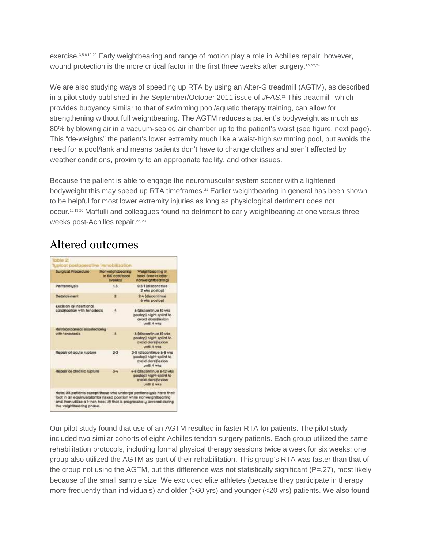exercise.3,5,6,19-20 Early weightbearing and range of motion play a role in Achilles repair, however, wound protection is the more critical factor in the first three weeks after surgery.<sup>1,2,22,24</sup>

We are also studying ways of speeding up RTA by using an Alter-G treadmill (AGTM), as described in a pilot study published in the September/October 2011 issue of JFAS.<sup>21</sup> This treadmill, which provides buoyancy similar to that of swimming pool/aquatic therapy training, can allow for strengthening without full weightbearing. The AGTM reduces a patient's bodyweight as much as 80% by blowing air in a vacuum-sealed air chamber up to the patient's waist (see figure, next page). This "de-weights" the patient's lower extremity much like a waist-high swimming pool, but avoids the need for a pool/tank and means patients don't have to change clothes and aren't affected by weather conditions, proximity to an appropriate facility, and other issues.

Because the patient is able to engage the neuromuscular system sooner with a lightened bodyweight this may speed up RTA timeframes.<sup>21</sup> Earlier weightbearing in general has been shown to be helpful for most lower extremity injuries as long as physiological detriment does not occur.16,19,20 Maffulli and colleagues found no detriment to early weightbearing at one versus three weeks post-Achilles repair.<sup>22, 23</sup>

### Altered outcomes



Our pilot study found that use of an AGTM resulted in faster RTA for patients. The pilot study included two similar cohorts of eight Achilles tendon surgery patients. Each group utilized the same rehabilitation protocols, including formal physical therapy sessions twice a week for six weeks; one group also utilized the AGTM as part of their rehabilitation. This group's RTA was faster than that of the group not using the AGTM, but this difference was not statistically significant  $(P=27)$ , most likely because of the small sample size. We excluded elite athletes (because they participate in therapy more frequently than individuals) and older (>60 yrs) and younger (<20 yrs) patients. We also found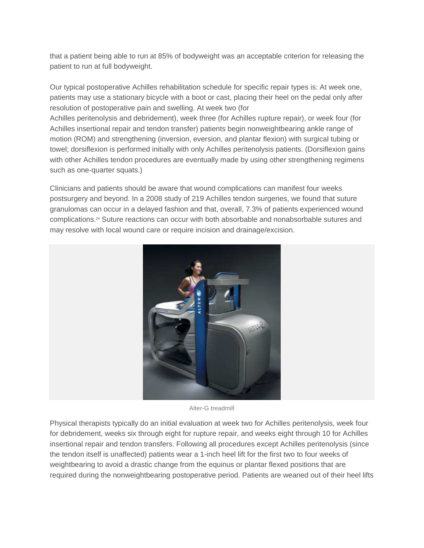that a patient being able to run at 85% of bodyweight was an acceptable criterion for releasing the patient to run at full bodyweight.

Our typical postoperative Achilles rehabilitation schedule for specific repair types is: At week one, patients may use a stationary bicycle with a boot or cast, placing their heel on the pedal only after resolution of postoperative pain and swelling. At week two (for

Achilles peritenolysis and debridement), week three (for Achilles rupture repair), or week four (for Achilles insertional repair and tendon transfer) patients begin nonweightbearing ankle range of motion (ROM) and strengthening (inversion, eversion, and plantar flexion) with surgical tubing or towel; dorsiflexion is performed initially with only Achilles peritenolysis patients. (Dorsiflexion gains with other Achilles tendon procedures are eventually made by using other strengthening regimens such as one-quarter squats.)

Clinicians and patients should be aware that wound complications can manifest four weeks postsurgery and beyond. In a 2008 study of 219 Achilles tendon surgeries, we found that suture granulomas can occur in a delayed fashion and that, overall, 7.3% of patients experienced wound complications.24 Suture reactions can occur with both absorbable and nonabsorbable sutures and may resolve with local wound care or require incision and drainage/excision.



Alter-G treadmill

Physical therapists typically do an initial evaluation at week two for Achilles peritenolysis, week four for debridement, weeks six through eight for rupture repair, and weeks eight through 10 for Achilles insertional repair and tendon transfers. Following all procedures except Achilles peritenolysis (since the tendon itself is unaffected) patients wear a 1-inch heel lift for the first two to four weeks of weightbearing to avoid a drastic change from the equinus or plantar flexed positions that are required during the nonweightbearing postoperative period. Patients are weaned out of their heel lifts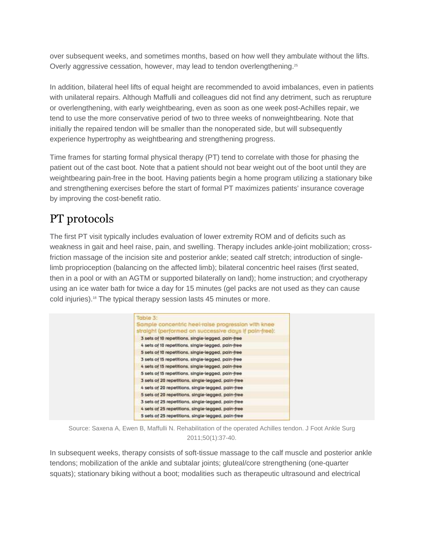over subsequent weeks, and sometimes months, based on how well they ambulate without the lifts. Overly aggressive cessation, however, may lead to tendon overlengthening.<sup>25</sup>

In addition, bilateral heel lifts of equal height are recommended to avoid imbalances, even in patients with unilateral repairs. Although Maffulli and colleagues did not find any detriment, such as rerupture or overlengthening, with early weightbearing, even as soon as one week post-Achilles repair, we tend to use the more conservative period of two to three weeks of nonweightbearing. Note that initially the repaired tendon will be smaller than the nonoperated side, but will subsequently experience hypertrophy as weightbearing and strengthening progress.

Time frames for starting formal physical therapy (PT) tend to correlate with those for phasing the patient out of the cast boot. Note that a patient should not bear weight out of the boot until they are weightbearing pain-free in the boot. Having patients begin a home program utilizing a stationary bike and strengthening exercises before the start of formal PT maximizes patients' insurance coverage by improving the cost-benefit ratio.

## PT protocols

The first PT visit typically includes evaluation of lower extremity ROM and of deficits such as weakness in gait and heel raise, pain, and swelling. Therapy includes ankle-joint mobilization; crossfriction massage of the incision site and posterior ankle; seated calf stretch; introduction of singlelimb proprioception (balancing on the affected limb); bilateral concentric heel raises (first seated, then in a pool or with an AGTM or supported bilaterally on land); home instruction; and cryotherapy using an ice water bath for twice a day for 15 minutes (gel packs are not used as they can cause cold injuries).18 The typical therapy session lasts 45 minutes or more.

| Table 3:                                              |
|-------------------------------------------------------|
| Sample concentric heet-raise progression with knee-   |
| straight (performed on successive days if pain-free): |
| 3 sets of 10 repetitions, single-legged, pain-free    |
| 4 sets of 10 repetitions, single-legged, pain-free    |
| 5 sets of 10 repetitions, single-legged, pain-free    |
| 3 sets of 15 repetitions, single-legged, pain-free    |
| 4 sets of 15 repetitions, single-legged, pain-free    |
| 5 sets of 15 repetitions, single-legged, pain-free    |
| 3 sets of 20 repetitions, single-legged, pain-free    |
| 4 sets of 20 repetitions, single-legged, pain-free    |
| 5 sets of 20 repetitions, single-legged, pain-free    |
| 3 sets of 25 repetitions, single-legged, pain-free    |
| 4 sets of 25 repetitions, single-legged, pain-free    |
| 5 sets of 25 repetitions, single legged, pain-free    |

Source: Saxena A, Ewen B, Maffulli N. Rehabilitation of the operated Achilles tendon. J Foot Ankle Surg 2011;50(1):37-40.

In subsequent weeks, therapy consists of soft-tissue massage to the calf muscle and posterior ankle tendons; mobilization of the ankle and subtalar joints; gluteal/core strengthening (one-quarter squats); stationary biking without a boot; modalities such as therapeutic ultrasound and electrical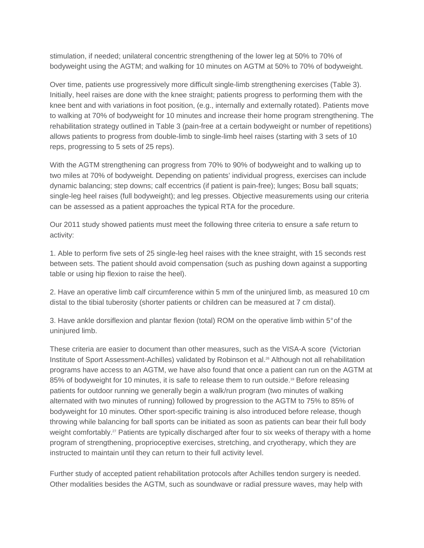stimulation, if needed; unilateral concentric strengthening of the lower leg at 50% to 70% of bodyweight using the AGTM; and walking for 10 minutes on AGTM at 50% to 70% of bodyweight.

Over time, patients use progressively more difficult single-limb strengthening exercises (Table 3). Initially, heel raises are done with the knee straight; patients progress to performing them with the knee bent and with variations in foot position, (e.g., internally and externally rotated). Patients move to walking at 70% of bodyweight for 10 minutes and increase their home program strengthening. The rehabilitation strategy outlined in Table 3 (pain-free at a certain bodyweight or number of repetitions) allows patients to progress from double-limb to single-limb heel raises (starting with 3 sets of 10 reps, progressing to 5 sets of 25 reps).

With the AGTM strengthening can progress from 70% to 90% of bodyweight and to walking up to two miles at 70% of bodyweight. Depending on patients' individual progress, exercises can include dynamic balancing; step downs; calf eccentrics (if patient is pain-free); lunges; Bosu ball squats; single-leg heel raises (full bodyweight); and leg presses. Objective measurements using our criteria can be assessed as a patient approaches the typical RTA for the procedure.

Our 2011 study showed patients must meet the following three criteria to ensure a safe return to activity:

1. Able to perform five sets of 25 single-leg heel raises with the knee straight, with 15 seconds rest between sets. The patient should avoid compensation (such as pushing down against a supporting table or using hip flexion to raise the heel).

2. Have an operative limb calf circumference within 5 mm of the uninjured limb, as measured 10 cm distal to the tibial tuberosity (shorter patients or children can be measured at 7 cm distal).

3. Have ankle dorsiflexion and plantar flexion (total) ROM on the operative limb within 5° of the uninjured limb.

These criteria are easier to document than other measures, such as the VISA-A score (Victorian Institute of Sport Assessment-Achilles) validated by Robinson et al.26 Although not all rehabilitation programs have access to an AGTM, we have also found that once a patient can run on the AGTM at 85% of bodyweight for 10 minutes, it is safe to release them to run outside.<sup>19</sup> Before releasing patients for outdoor running we generally begin a walk/run program (two minutes of walking alternated with two minutes of running) followed by progression to the AGTM to 75% to 85% of bodyweight for 10 minutes. Other sport-specific training is also introduced before release, though throwing while balancing for ball sports can be initiated as soon as patients can bear their full body weight comfortably.<sup>27</sup> Patients are typically discharged after four to six weeks of therapy with a home program of strengthening, proprioceptive exercises, stretching, and cryotherapy, which they are instructed to maintain until they can return to their full activity level.

Further study of accepted patient rehabilitation protocols after Achilles tendon surgery is needed. Other modalities besides the AGTM, such as soundwave or radial pressure waves, may help with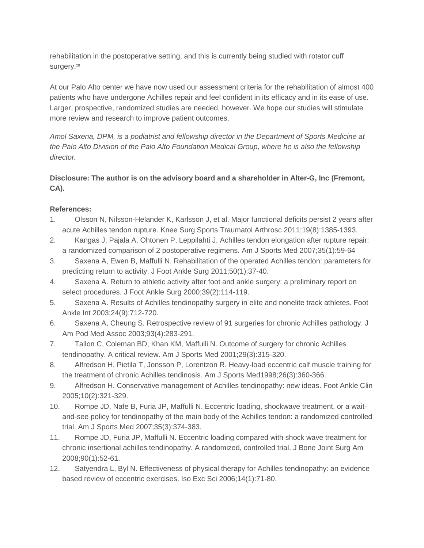rehabilitation in the postoperative setting, and this is currently being studied with rotator cuff surgery.<sup>28</sup>

At our Palo Alto center we have now used our assessment criteria for the rehabilitation of almost 400 patients who have undergone Achilles repair and feel confident in its efficacy and in its ease of use. Larger, prospective, randomized studies are needed, however. We hope our studies will stimulate more review and research to improve patient outcomes.

Amol Saxena, DPM, is a podiatrist and fellowship director in the Department of Sports Medicine at the Palo Alto Division of the Palo Alto Foundation Medical Group, where he is also the fellowship director.

#### **Disclosure: The author is on the advisory board and a shareholder in Alter-G, Inc (Fremont, CA).**

#### **References:**

- 1. Olsson N, Nilsson-Helander K, Karlsson J, et al. Major functional deficits persist 2 years after acute Achilles tendon rupture. Knee Surg Sports Traumatol Arthrosc 2011;19(8):1385-1393.
- 2. Kangas J, Pajala A, Ohtonen P, Leppilahti J. Achilles tendon elongation after rupture repair: a randomized comparison of 2 postoperative regimens. Am J Sports Med 2007;35(1):59-64
- 3. Saxena A, Ewen B, Maffulli N. Rehabilitation of the operated Achilles tendon: parameters for predicting return to activity. J Foot Ankle Surg 2011;50(1):37-40.
- 4. Saxena A. Return to athletic activity after foot and ankle surgery: a preliminary report on select procedures. J Foot Ankle Surg 2000;39(2):114-119.
- 5. Saxena A. Results of Achilles tendinopathy surgery in elite and nonelite track athletes. Foot Ankle Int 2003;24(9):712-720.
- 6. Saxena A, Cheung S. Retrospective review of 91 surgeries for chronic Achilles pathology. J Am Pod Med Assoc 2003;93(4):283-291.
- 7. Tallon C, Coleman BD, Khan KM, Maffulli N. Outcome of surgery for chronic Achilles tendinopathy. A critical review. Am J Sports Med 2001;29(3):315-320.
- 8. Alfredson H, Pietila T, Jonsson P, Lorentzon R. Heavy-load eccentric calf muscle training for the treatment of chronic Achilles tendinosis. Am J Sports Med1998;26(3):360-366.
- 9. Alfredson H. Conservative management of Achilles tendinopathy: new ideas. Foot Ankle Clin 2005;10(2):321-329.
- 10. Rompe JD, Nafe B, Furia JP, Maffulli N. Eccentric loading, shockwave treatment, or a waitand-see policy for tendinopathy of the main body of the Achilles tendon: a randomized controlled trial. Am J Sports Med 2007;35(3):374-383.
- 11. Rompe JD, Furia JP, Maffulli N. Eccentric loading compared with shock wave treatment for chronic insertional achilles tendinopathy. A randomized, controlled trial. J Bone Joint Surg Am 2008;90(1):52-61.
- 12. Satyendra L, Byl N. Effectiveness of physical therapy for Achilles tendinopathy: an evidence based review of eccentric exercises. Iso Exc Sci 2006;14(1):71-80.